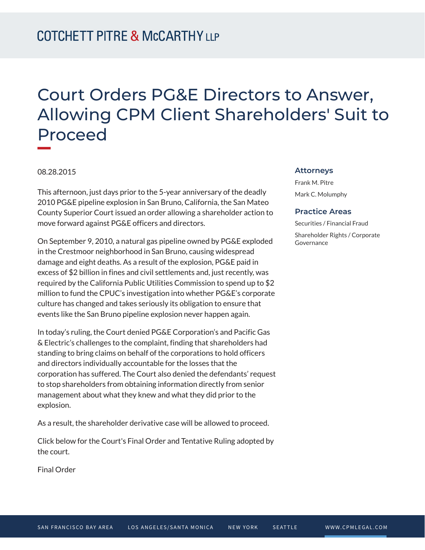## Court Orders PG&E Directors to Answer, Allowing CPM Client Shareholders' Suit to Proceed

08.28.2015

This afternoon, just days prior to the 5-year anniversary of the deadly 2010 PG&E pipeline explosion in San Bruno, California, the San Mateo County Superior Court issued an order allowing a shareholder action to move forward against PG&E officers and directors.

On September 9, 2010, a natural gas pipeline owned by PG&E exploded in the Crestmoor neighborhood in San Bruno, causing widespread damage and eight deaths. As a result of the explosion, PG&E paid in excess of \$2 billion in fines and civil settlements and, just recently, was required by the California Public Utilities Commission to spend up to \$2 million to fund the CPUC's investigation into whether PG&E's corporate culture has changed and takes seriously its obligation to ensure that events like the San Bruno pipeline explosion never happen again.

In today's ruling, the Court denied PG&E Corporation's and Pacific Gas & Electric's challenges to the complaint, finding that shareholders had standing to bring claims on behalf of the corporations to hold officers and directors individually accountable for the losses that the corporation has suffered. The Court also denied the defendants' request to stop shareholders from obtaining information directly from senior management about what they knew and what they did prior to the explosion.

As a result, the shareholder derivative case will be allowed to proceed.

Click below for the Court's Final Order and Tentative Ruling adopted by the court.

Final Order

## **Attorneys**

Frank M. Pitre Mark C. Molumphy

## **Practice Areas**

Securities / Financial Fraud Shareholder Rights / Corporate Governance